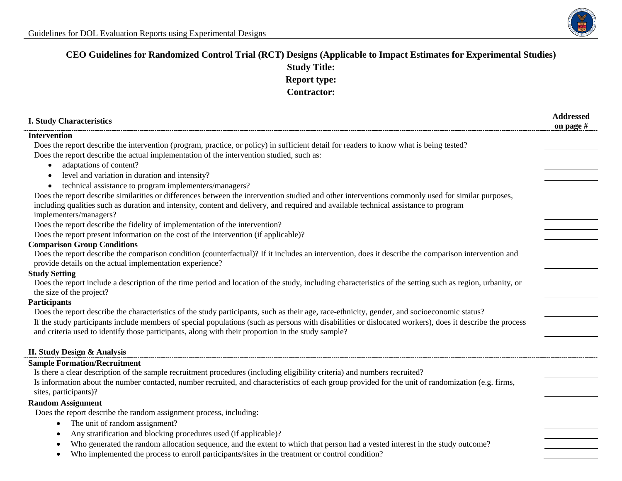

## **CEO Guidelines for Randomized Control Trial (RCT) Designs (Applicable to Impact Estimates for Experimental Studies) Study Title: Report type: Contractor:**

| <b>I. Study Characteristics</b>                                                                                                                                                                                                                                | <b>Addressed</b><br>on page # |
|----------------------------------------------------------------------------------------------------------------------------------------------------------------------------------------------------------------------------------------------------------------|-------------------------------|
| <b>Intervention</b>                                                                                                                                                                                                                                            |                               |
| Does the report describe the intervention (program, practice, or policy) in sufficient detail for readers to know what is being tested?                                                                                                                        |                               |
| Does the report describe the actual implementation of the intervention studied, such as:                                                                                                                                                                       |                               |
| adaptations of content?                                                                                                                                                                                                                                        |                               |
| level and variation in duration and intensity?                                                                                                                                                                                                                 |                               |
| technical assistance to program implementers/managers?                                                                                                                                                                                                         |                               |
| Does the report describe similarities or differences between the intervention studied and other interventions commonly used for similar purposes,                                                                                                              |                               |
| including qualities such as duration and intensity, content and delivery, and required and available technical assistance to program                                                                                                                           |                               |
| implementers/managers?                                                                                                                                                                                                                                         |                               |
| Does the report describe the fidelity of implementation of the intervention?                                                                                                                                                                                   |                               |
| Does the report present information on the cost of the intervention (if applicable)?                                                                                                                                                                           |                               |
| <b>Comparison Group Conditions</b>                                                                                                                                                                                                                             |                               |
| Does the report describe the comparison condition (counterfactual)? If it includes an intervention, does it describe the comparison intervention and                                                                                                           |                               |
| provide details on the actual implementation experience?<br><b>Study Setting</b>                                                                                                                                                                               |                               |
| Does the report include a description of the time period and location of the study, including characteristics of the setting such as region, urbanity, or                                                                                                      |                               |
| the size of the project?                                                                                                                                                                                                                                       |                               |
| <b>Participants</b>                                                                                                                                                                                                                                            |                               |
| Does the report describe the characteristics of the study participants, such as their age, race-ethnicity, gender, and socioeconomic status?                                                                                                                   |                               |
| If the study participants include members of special populations (such as persons with disabilities or dislocated workers), does it describe the process<br>and criteria used to identify those participants, along with their proportion in the study sample? |                               |
|                                                                                                                                                                                                                                                                |                               |
| <b>II. Study Design &amp; Analysis</b>                                                                                                                                                                                                                         |                               |
| <b>Sample Formation/Recruitment</b>                                                                                                                                                                                                                            |                               |
| Is there a clear description of the sample recruitment procedures (including eligibility criteria) and numbers recruited?                                                                                                                                      |                               |
| Is information about the number contacted, number recruited, and characteristics of each group provided for the unit of randomization (e.g. firms,<br>sites, participants)?                                                                                    |                               |
| <b>Random Assignment</b>                                                                                                                                                                                                                                       |                               |
| Does the report describe the random assignment process, including:                                                                                                                                                                                             |                               |
| The unit of random assignment?<br>$\bullet$                                                                                                                                                                                                                    |                               |
| Any stratification and blocking procedures used (if applicable)?                                                                                                                                                                                               |                               |
| Who generated the random allocation sequence, and the extent to which that person had a vested interest in the study outcome?                                                                                                                                  |                               |
| Who implemented the process to enroll participants/sites in the treatment or control condition?<br>٠                                                                                                                                                           |                               |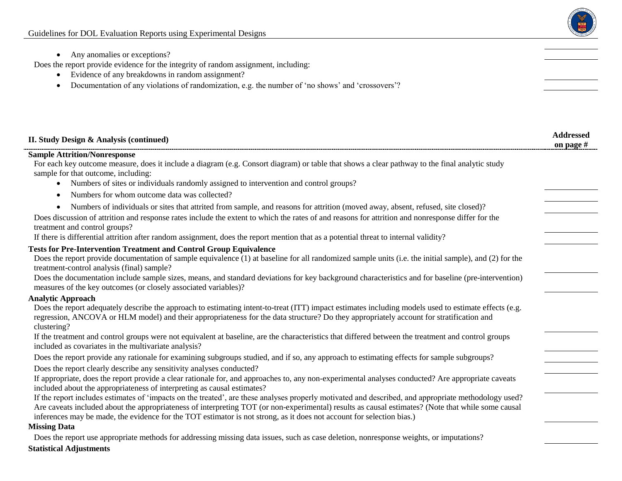

• Any anomalies or exceptions?

Does the report provide evidence for the integrity of random assignment, including:

- Evidence of any breakdowns in random assignment?
- Documentation of any violations of randomization, e.g. the number of 'no shows' and 'crossovers'?

| II. Study Design & Analysis (continued)                                                                                                                                                                                                                                                                                                                                                                                             | <b>Addressed</b><br>on page $#$ |
|-------------------------------------------------------------------------------------------------------------------------------------------------------------------------------------------------------------------------------------------------------------------------------------------------------------------------------------------------------------------------------------------------------------------------------------|---------------------------------|
| <b>Sample Attrition/Nonresponse</b>                                                                                                                                                                                                                                                                                                                                                                                                 |                                 |
| For each key outcome measure, does it include a diagram (e.g. Consort diagram) or table that shows a clear pathway to the final analytic study<br>sample for that outcome, including:                                                                                                                                                                                                                                               |                                 |
| Numbers of sites or individuals randomly assigned to intervention and control groups?                                                                                                                                                                                                                                                                                                                                               |                                 |
| Numbers for whom outcome data was collected?<br>$\bullet$                                                                                                                                                                                                                                                                                                                                                                           |                                 |
| Numbers of individuals or sites that attrited from sample, and reasons for attrition (moved away, absent, refused, site closed)?                                                                                                                                                                                                                                                                                                    |                                 |
| Does discussion of attrition and response rates include the extent to which the rates of and reasons for attrition and nonresponse differ for the<br>treatment and control groups?                                                                                                                                                                                                                                                  |                                 |
| If there is differential attrition after random assignment, does the report mention that as a potential threat to internal validity?                                                                                                                                                                                                                                                                                                |                                 |
| <b>Tests for Pre-Intervention Treatment and Control Group Equivalence</b>                                                                                                                                                                                                                                                                                                                                                           |                                 |
| Does the report provide documentation of sample equivalence (1) at baseline for all randomized sample units (i.e. the initial sample), and (2) for the<br>treatment-control analysis (final) sample?                                                                                                                                                                                                                                |                                 |
| Does the documentation include sample sizes, means, and standard deviations for key background characteristics and for baseline (pre-intervention)<br>measures of the key outcomes (or closely associated variables)?                                                                                                                                                                                                               |                                 |
| <b>Analytic Approach</b>                                                                                                                                                                                                                                                                                                                                                                                                            |                                 |
| Does the report adequately describe the approach to estimating intent-to-treat (ITT) impact estimates including models used to estimate effects (e.g.<br>regression, ANCOVA or HLM model) and their appropriateness for the data structure? Do they appropriately account for stratification and<br>clustering?                                                                                                                     |                                 |
| If the treatment and control groups were not equivalent at baseline, are the characteristics that differed between the treatment and control groups<br>included as covariates in the multivariate analysis?                                                                                                                                                                                                                         |                                 |
| Does the report provide any rationale for examining subgroups studied, and if so, any approach to estimating effects for sample subgroups?                                                                                                                                                                                                                                                                                          |                                 |
| Does the report clearly describe any sensitivity analyses conducted?                                                                                                                                                                                                                                                                                                                                                                |                                 |
| If appropriate, does the report provide a clear rationale for, and approaches to, any non-experimental analyses conducted? Are appropriate caveats<br>included about the appropriateness of interpreting as causal estimates?                                                                                                                                                                                                       |                                 |
| If the report includes estimates of 'impacts on the treated', are these analyses properly motivated and described, and appropriate methodology used?<br>Are caveats included about the appropriateness of interpreting TOT (or non-experimental) results as causal estimates? (Note that while some causal<br>inferences may be made, the evidence for the TOT estimator is not strong, as it does not account for selection bias.) |                                 |
| <b>Missing Data</b>                                                                                                                                                                                                                                                                                                                                                                                                                 |                                 |
| Does the report use appropriate methods for addressing missing data issues, such as case deletion, nonresponse weights, or imputations?                                                                                                                                                                                                                                                                                             |                                 |

**Statistical Adjustments**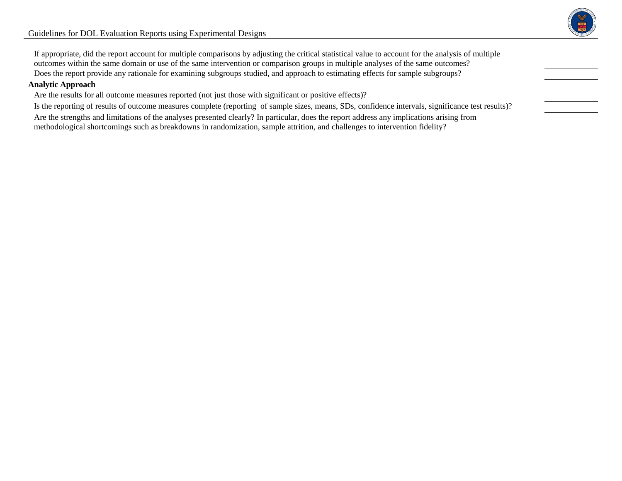

If appropriate, did the report account for multiple comparisons by adjusting the critical statistical value to account for the analysis of multiple outcomes within the same domain or use of the same intervention or comparison groups in multiple analyses of the same outcomes? Does the report provide any rationale for examining subgroups studied, and approach to estimating effects for sample subgroups?

## **Analytic Approach**

Are the results for all outcome measures reported (not just those with significant or positive effects)?

Is the reporting of results of outcome measures complete (reporting of sample sizes, means, SDs, confidence intervals, significance test results)? Are the strengths and limitations of the analyses presented clearly? In particular, does the report address any implications arising from methodological shortcomings such as breakdowns in randomization, sample attrition, and challenges to intervention fidelity?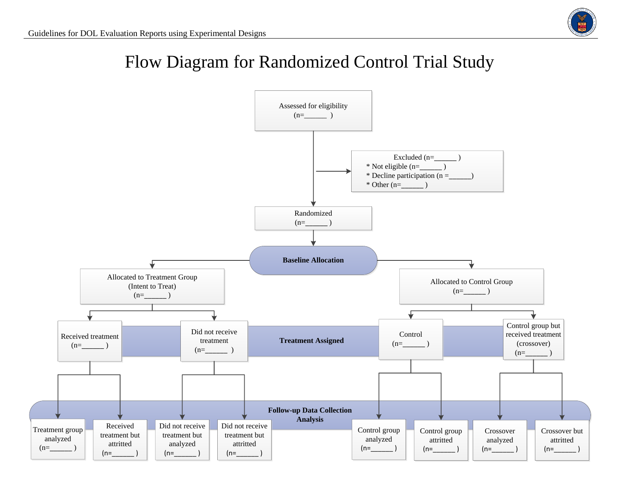

## Flow Diagram for Randomized Control Trial Study